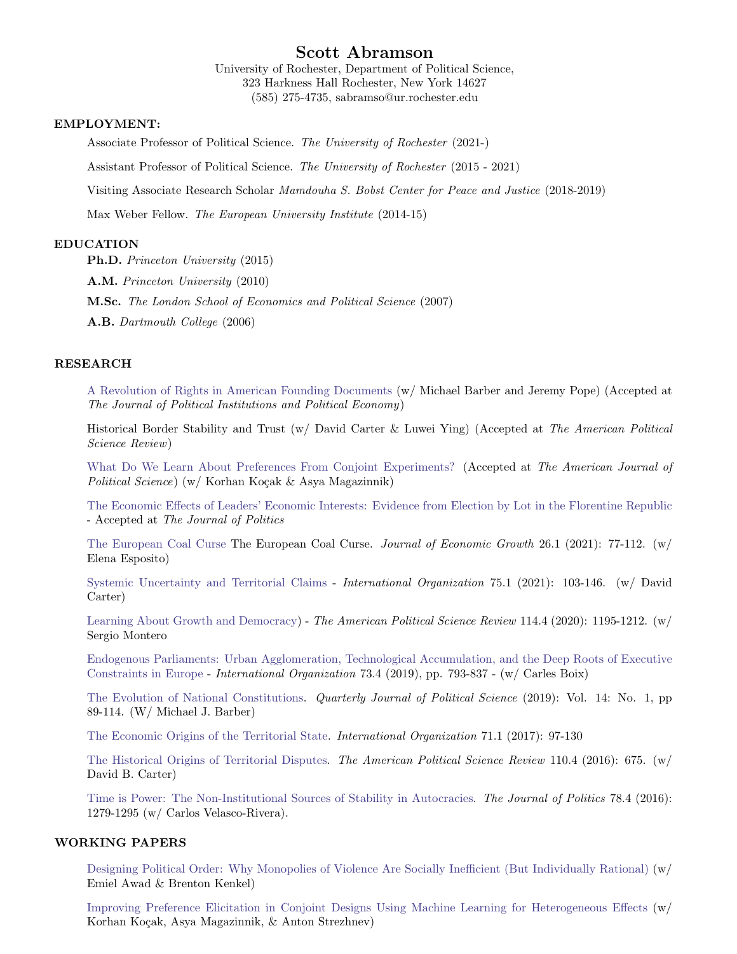# Scott Abramson

University of Rochester, Department of Political Science, 323 Harkness Hall Rochester, New York 14627 (585) 275-4735, sabramso@ur.rochester.edu

# EMPLOYMENT:

Associate Professor of Political Science. The University of Rochester (2021-)

Assistant Professor of Political Science. The University of Rochester (2015 - 2021)

Visiting Associate Research Scholar Mamdouha S. Bobst Center for Peace and Justice (2018-2019)

Max Weber Fellow. The European University Institute (2014-15)

# EDUCATION

Ph.D. Princeton University (2015)

A.M. Princeton University (2010)

M.Sc. The London School of Economics and Political Science (2007)

A.B. Dartmouth College (2006)

# RESEARCH

[A Revolution of Rights in American Founding Documents](https://www.dropbox.com/s/89pdodo833ybjkr/colonial_constitutions.pdf?dl=0) (w/ Michael Barber and Jeremy Pope) (Accepted at The Journal of Political Institutions and Political Economy)

Historical Border Stability and Trust (w/ David Carter & Luwei Ying) (Accepted at The American Political Science Review)

[What Do We Learn About Preferences From Conjoint Experiments?](https://www.dropbox.com/s/kracengw1mvz5my/Conjoint_AJPS_Submission%20%281%29.pdf?dl=0) (Accepted at The American Journal of Political Science) (w/ Korhan Koçak & Asya Magazinnik)

[The Economic Effects of Leaders' Economic Interests: Evidence from Election by Lot in the Florentine Republic](https://www.dropbox.com/s/koxmfrubd30j7oa/Economic_Effects_Leaders_JOP.pdf?dl=0) - Accepted at The Journal of Politics

[The European Coal Curse](https://link.springer.com/article/10.1007/s10887-021-09187-w) The European Coal Curse. Journal of Economic Growth 26.1 (2021): 77-112. (w/ Elena Esposito)

[Systemic Uncertainty and Territorial Claims](https://www.dropbox.com/s/zmupzecwkm32mqc/systemic_instability_merged.pdf?dl=0) - International Organization 75.1 (2021): 103-146. (w/ David Carter)

[Learning About Growth and Democracy\)](https://www.dropbox.com/s/jf9045lc9tixq63/learning_democracy_APSR_merged.pdf?dl=0) - The American Political Science Review 114.4 (2020): 1195-1212. (w/ Sergio Montero

[Endogenous Parliaments: Urban Agglomeration, Technological Accumulation, and the Deep Roots of Executive](https://www.dropbox.com/s/msm9f0js3g1d40d/Endogenous_parl_IO-merged.pdf?dl=0) [Constraints in Europe](https://www.dropbox.com/s/msm9f0js3g1d40d/Endogenous_parl_IO-merged.pdf?dl=0) - International Organization 73.4 (2019), pp. 793-837 - (w/ Carles Boix)

[The Evolution of National Constitutions.](https://www.dropbox.com/s/ysvagfl78n5ruz0/Evol_of_Nat_Cons_QJPS_merged.pdf?dl=0) Quarterly Journal of Political Science (2019): Vol. 14: No. 1, pp 89-114. (W/ Michael J. Barber)

[The Economic Origins of the Territorial State.](https://www.dropbox.com/s/hqsmynlbldwpvg8/economic_origins_IO-merged.pdf?dl=0) International Organization 71.1 (2017): 97-130

[The Historical Origins of Territorial Disputes.](https://www.dropbox.com/s/i04sclkih8nnf32/Territorial_disputes_APSR%20_merged.pdf?dl=0) The American Political Science Review 110.4 (2016): 675. (w/ David B. Carter)

[Time is Power: The Non-Institutional Sources of Stability in Autocracies.](https://www.dropbox.com/s/maydcemq2rhp06f/Time_is_Power_JOP_merged.pdf?dl=0) The Journal of Politics 78.4 (2016): 1279-1295 (w/ Carlos Velasco-Rivera).

# WORKING PAPERS

[Designing Political Order: Why Monopolies of Violence Are Socially Inefficient \(But Individually Rational\)](https://www.dropbox.com/s/jy95v2silh76qo2/The_Emergence_of_Political_Order%20%283%29.pdf?dl=0) (w/ Emiel Awad & Brenton Kenkel)

[Improving Preference Elicitation in Conjoint Designs Using Machine Learning for Heterogeneous Effects](https://www.dropbox.com/s/pco51bwdrj10xg2/Conjoint_FCP%20%281%29.pdf?dl=0) (w/ Korhan Koçak, Asya Magazinnik, & Anton Strezhnev)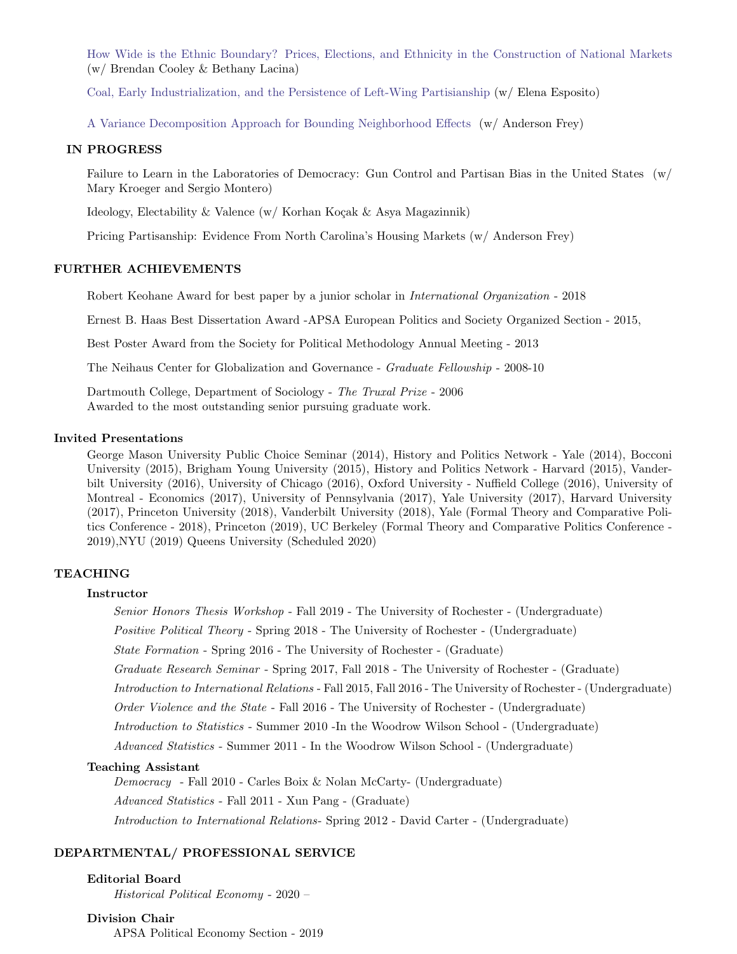[How Wide is the Ethnic Boundary? Prices, Elections, and Ethnicity in the Construction of National Markets](https://www.dropbox.com/s/s9i406yivbuwzqs/How_Wide_Is__The_Ethnic_Border_%20%281%29.pdf?dl=0) (w/ Brendan Cooley & Bethany Lacina)

[Coal, Early Industrialization, and the Persistence of Left-Wing Partisianship](https://www.dropbox.com/s/yps82w8oxzwamhu/coal_left.pdf?dl=0) (w/ Elena Esposito)

[A Variance Decomposition Approach for Bounding Neighborhood Effects](https://www.dropbox.com/s/r9mreq5ed3iglg1/Turnout.pdf?dl=0) (w/ Anderson Frey)

# IN PROGRESS

Failure to Learn in the Laboratories of Democracy: Gun Control and Partisan Bias in the United States (w/ Mary Kroeger and Sergio Montero)

Ideology, Electability & Valence (w/ Korhan Koçak & Asya Magazinnik)

Pricing Partisanship: Evidence From North Carolina's Housing Markets (w/ Anderson Frey)

# FURTHER ACHIEVEMENTS

Robert Keohane Award for best paper by a junior scholar in International Organization - 2018

Ernest B. Haas Best Dissertation Award -APSA European Politics and Society Organized Section - 2015,

Best Poster Award from the Society for Political Methodology Annual Meeting - 2013

The Neihaus Center for Globalization and Governance - Graduate Fellowship - 2008-10

Dartmouth College, Department of Sociology - The Truxal Prize - 2006 Awarded to the most outstanding senior pursuing graduate work.

# Invited Presentations

George Mason University Public Choice Seminar (2014), History and Politics Network - Yale (2014), Bocconi University (2015), Brigham Young University (2015), History and Politics Network - Harvard (2015), Vanderbilt University (2016), University of Chicago (2016), Oxford University - Nuffield College (2016), University of Montreal - Economics (2017), University of Pennsylvania (2017), Yale University (2017), Harvard University (2017), Princeton University (2018), Vanderbilt University (2018), Yale (Formal Theory and Comparative Politics Conference - 2018), Princeton (2019), UC Berkeley (Formal Theory and Comparative Politics Conference - 2019),NYU (2019) Queens University (Scheduled 2020)

# TEACHING

#### Instructor

Senior Honors Thesis Workshop - Fall 2019 - The University of Rochester - (Undergraduate) Positive Political Theory - Spring 2018 - The University of Rochester - (Undergraduate) State Formation - Spring 2016 - The University of Rochester - (Graduate) Graduate Research Seminar - Spring 2017, Fall 2018 - The University of Rochester - (Graduate) Introduction to International Relations - Fall 2015, Fall 2016 - The University of Rochester - (Undergraduate) Order Violence and the State - Fall 2016 - The University of Rochester - (Undergraduate) Introduction to Statistics - Summer 2010 -In the Woodrow Wilson School - (Undergraduate) Advanced Statistics - Summer 2011 - In the Woodrow Wilson School - (Undergraduate)

#### Teaching Assistant

Democracy - Fall 2010 - Carles Boix & Nolan McCarty- (Undergraduate) Advanced Statistics - Fall 2011 - Xun Pang - (Graduate) Introduction to International Relations- Spring 2012 - David Carter - (Undergraduate)

# DEPARTMENTAL/ PROFESSIONAL SERVICE

### Editorial Board

Historical Political Economy - 2020 –

#### Division Chair

APSA Political Economy Section - 2019